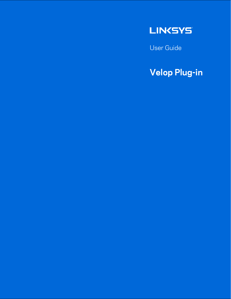

User Guide

## **Velop Plug-in**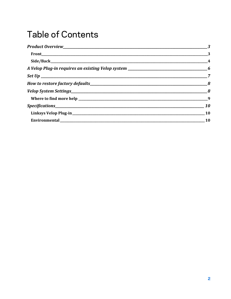#### **Table of Contents**

| <b>10</b> |
|-----------|
| 10        |
| <b>10</b> |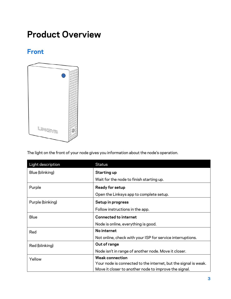#### <span id="page-2-0"></span>**Product Overview**

#### <span id="page-2-1"></span>**Front**



The light on the front of your node gives you information about the node's operation.

| Light description | <b>Status</b>                                                   |
|-------------------|-----------------------------------------------------------------|
| Blue (blinking)   | <b>Starting up</b>                                              |
|                   | Wait for the node to finish starting up.                        |
| Purple            | <b>Ready for setup</b>                                          |
|                   | Open the Linksys app to complete setup.                         |
| Purple (binking)  | Setup in progress                                               |
|                   | Follow instructions in the app.                                 |
| <b>Blue</b>       | <b>Connected to internet</b>                                    |
|                   | Node is online, everything is good.                             |
| Red               | No internet                                                     |
|                   | Not online, check with your ISP for service interruptions.      |
| Red (blinking)    | Out of range                                                    |
|                   | Node isn't in range of another node. Move it closer.            |
| Yellow            | <b>Weak connection</b>                                          |
|                   | Your node is connected to the internet, but the signal is weak. |
|                   | Move it closer to another node to improve the signal.           |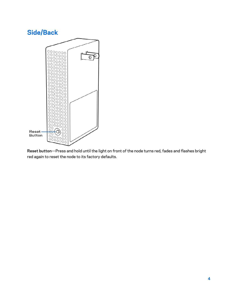#### <span id="page-3-0"></span>**Side/Back**  $\begin{bmatrix} 0 & 0 & 0 & 0 & 0 & 0 \\ 0 & 0 & 0 & 0 & 0 & 0 \\ 0 & 0 & 0 & 0 & 0 & 0 \\ 0 & 0 & 0 & 0 & 0 & 0 \\ 0 & 0 & 0 & 0 & 0 & 0 \\ 0 & 0 & 0 & 0 & 0 & 0 \\ 0 & 0 & 0 & 0 & 0 & 0 \\ 0 & 0 & 0 & 0 & 0 & 0 \\ 0 & 0 & 0 & 0 & 0 & 0 \\ 0 & 0 & 0 & 0 & 0 & 0 \\ 0 & 0 & 0 & 0 & 0 & 0 \\ 0 & 0 & 0 & 0 & 0 &$ ∩  $\overline{\Theta}$ O  $200000$ ΟŌ Οŏ OO Ō С n  $\bigcirc$ O Ö Г C Ω O O Ò ∩ n O O С O Ó С Ċ С  $\circ$ C O С  $\circ$ n O  $\circ$ С ΟO O È ŎΟ Ω ಂ n  $\circ$ ∩ O 0 O O  $\circ$ Ω O O  $\circ$ ōò Reset -O 0000 **Button** O  $\frac{80000}{800000}$  $0000$

 $\bigcirc$ C

**Reset button**—Press and hold until the light on front of the node turns red, fades and flashes bright red again to reset the node to its factory defaults.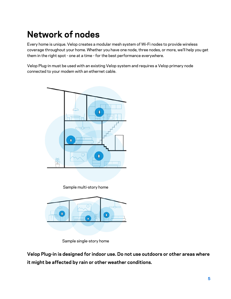## **Network of nodes**

Every home is unique. Velop creates a modular mesh system of Wi-Fi nodes to provide wireless coverage throughout your home. Whether you have one node, three nodes, or more, we'll help you get them in the right spot - one at a time - for the best performance everywhere.

Velop Plug-in must be used with an existing Velop system and requires a Velop primary node connected to your modem with an ethernet cable.



Sample multi-story home



Sample single-story home

**Velop Plug-in is designed for indoor use. Do not use outdoors or other areas where it might be affected by rain or other weather conditions.**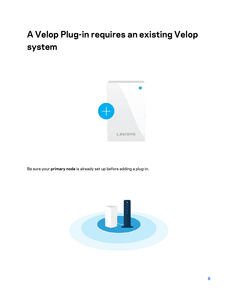# <span id="page-5-0"></span>**A Velop Plug-in requires an existing Velop system**



Be sure your **primary node** is already set up before adding a plug-in.

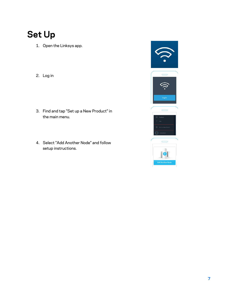## <span id="page-6-0"></span>**Set Up**

- 1. Open the Linksys app.
- 2. Log in
- 3. Find and tap "Set up a New Product" in the main menu.
- 4. Select "Add Another Node" and follow setup instructions.

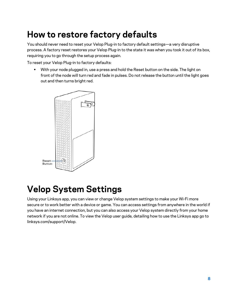#### <span id="page-7-0"></span>**How to restore factory defaults**

You should never need to reset your Velop Plug-in to factory default settings—a very disruptive process. A factory reset restores your Velop Plug-in to the state it was when you took it out of its box, requiring you to go through the setup process again.

To reset your Velop Plug-in to factory defaults:

• With your node plugged in, use a press and hold the Reset button on the side. The light on front of the node will turn red and fade in pulses. Do not release the button until the light goes out and then turns bright red.



#### <span id="page-7-1"></span>**Velop System Settings**

Using your Linksys app, you can view or change Velop system settings to make your Wi-Fi more secure or to work better with a device or game. You can access settings from anywhere in the world if you have an internet connection, but you can also access your Velop system directly from your home network if you are not online. To view the Velop user guide, detailing how to use the Linksys app go to linksys.com/support/Velop.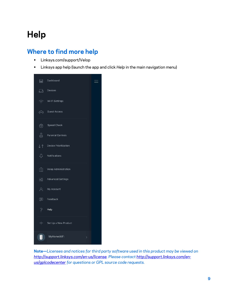## **Help**

#### <span id="page-8-0"></span>**Where to find more help**

- Linksys.com/support/Velop
- Linksys app help (launch the app and click *Help* in the main navigation menu)



**Note—***Licenses and notices for third party software used in this product may be viewed on [http://support.linksys.com/en-us/license.](http://support.linksys.com/en-us/license) Please contact [http://support.linksys.com/en](http://support.linksys.com/en-us/gplcodecenter)[us/gplcodecenter](http://support.linksys.com/en-us/gplcodecenter) for questions or GPL source code requests.*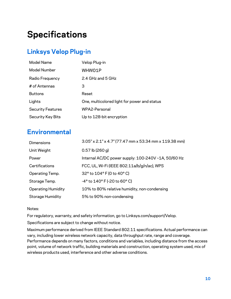## <span id="page-9-0"></span>**Specifications**

#### <span id="page-9-1"></span>**Linksys Velop Plug-in**

| Model Name               | Velop Plug-in                                |
|--------------------------|----------------------------------------------|
| <b>Model Number</b>      | WHW01P                                       |
| Radio Frequency          | 2.4 GHz and 5 GHz                            |
| # of Antennas            | З                                            |
| <b>Buttons</b>           | Reset                                        |
| Lights                   | One, multicolored light for power and status |
| <b>Security Features</b> | WPA2-Personal                                |
| <b>Security Key Bits</b> | Up to 128-bit encryption                     |

#### <span id="page-9-2"></span>**Environmental**

| Dimensions                | $3.05''$ x 2.1" x 4.7" (77.47 mm x 53.34 mm x 119.38 mm) |
|---------------------------|----------------------------------------------------------|
| Unit Weight               | $0.57$ lb (260 g)                                        |
| Power                     | Internal AC/DC power supply: 100-240V ~1A, 50/60 Hz      |
| Certifications            | FCC, UL, Wi-Fi (IEEE 802.11a/b/g/n/ac), WPS              |
| Operating Temp.           | 32° to 104° F (0 to 40° C)                               |
| Storage Temp.             | $-4^{\circ}$ to $140^{\circ}$ F (-20 to 60° C)           |
| <b>Operating Humidity</b> | 10% to 80% relative humidity, non-condensing             |
| <b>Storage Humidity</b>   | 5% to 90% non-condensing                                 |

#### Notes:

For regulatory, warranty, and safety information, go to Linksys.com/support/Velop.

Specifications are subject to change without notice.

Maximum performance derived from IEEE Standard 802.11 specifications. Actual performance can vary, including lower wireless network capacity, data throughput rate, range and coverage. Performance depends on many factors, conditions and variables, including distance from the access point, volume of network traffic, building materials and construction, operating system used, mix of wireless products used, interference and other adverse conditions.